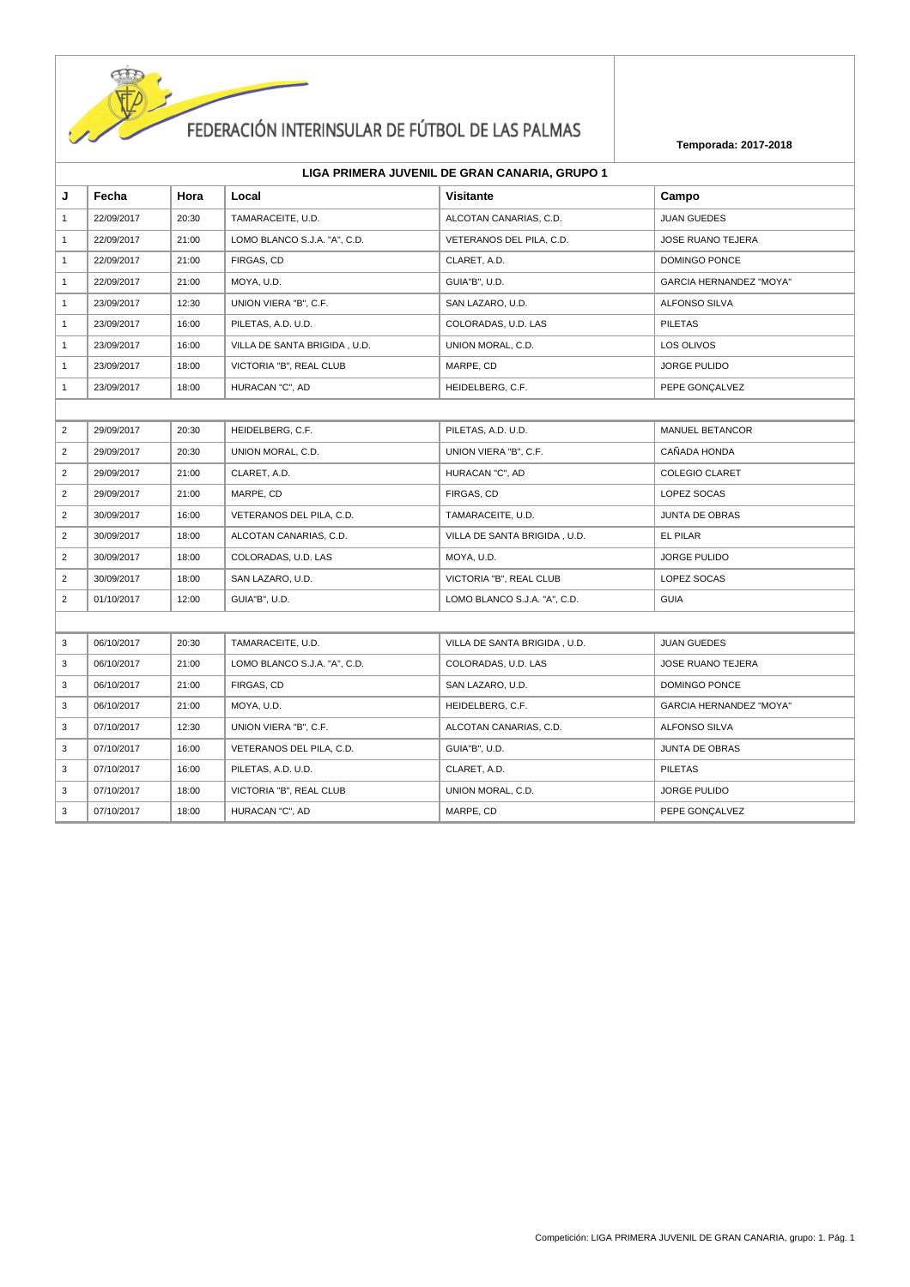

| LIGA PRIMERA JUVENIL DE GRAN CANARIA, GRUPO 1 |  |  |
|-----------------------------------------------|--|--|
|-----------------------------------------------|--|--|

| J              | Fecha      | Hora  | Local                        | <b>Visitante</b>             | Campo                          |
|----------------|------------|-------|------------------------------|------------------------------|--------------------------------|
| $\mathbf{1}$   | 22/09/2017 | 20:30 | TAMARACEITE, U.D.            | ALCOTAN CANARIAS, C.D.       | <b>JUAN GUEDES</b>             |
| $\mathbf{1}$   | 22/09/2017 | 21:00 | LOMO BLANCO S.J.A. "A", C.D. | VETERANOS DEL PILA, C.D.     | <b>JOSE RUANO TEJERA</b>       |
| $\mathbf{1}$   | 22/09/2017 | 21:00 | FIRGAS, CD                   | CLARET, A.D.                 | DOMINGO PONCE                  |
| $\mathbf{1}$   | 22/09/2017 | 21:00 | MOYA, U.D.                   | GUIA"B", U.D.                | <b>GARCIA HERNANDEZ "MOYA"</b> |
| $\mathbf{1}$   | 23/09/2017 | 12:30 | UNION VIERA "B", C.F.        | SAN LAZARO, U.D.             | ALFONSO SILVA                  |
| $\mathbf{1}$   | 23/09/2017 | 16:00 | PILETAS, A.D. U.D.           | COLORADAS, U.D. LAS          | <b>PILETAS</b>                 |
| $\mathbf{1}$   | 23/09/2017 | 16:00 | VILLA DE SANTA BRIGIDA, U.D. | UNION MORAL, C.D.            | LOS OLIVOS                     |
| $\mathbf{1}$   | 23/09/2017 | 18:00 | VICTORIA "B", REAL CLUB      | MARPE, CD                    | <b>JORGE PULIDO</b>            |
| $\mathbf{1}$   | 23/09/2017 | 18:00 | HURACAN "C", AD              | HEIDELBERG, C.F.             | PEPE GONÇALVEZ                 |
|                |            |       |                              |                              |                                |
| $\overline{2}$ | 29/09/2017 | 20:30 | HEIDELBERG, C.F.             | PILETAS, A.D. U.D.           | <b>MANUEL BETANCOR</b>         |
| $\overline{2}$ | 29/09/2017 | 20:30 | UNION MORAL, C.D.            | UNION VIERA "B", C.F.        | CAÑADA HONDA                   |
| $\overline{2}$ | 29/09/2017 | 21:00 | CLARET, A.D.                 | HURACAN "C", AD              | <b>COLEGIO CLARET</b>          |
| $\overline{2}$ | 29/09/2017 | 21:00 | MARPE, CD                    | FIRGAS, CD                   | LOPEZ SOCAS                    |
| $\overline{2}$ | 30/09/2017 | 16:00 | VETERANOS DEL PILA, C.D.     | TAMARACEITE, U.D.            | <b>JUNTA DE OBRAS</b>          |
| $\overline{2}$ | 30/09/2017 | 18:00 | ALCOTAN CANARIAS, C.D.       | VILLA DE SANTA BRIGIDA, U.D. | EL PILAR                       |
| $\overline{2}$ | 30/09/2017 | 18:00 | COLORADAS, U.D. LAS          | MOYA, U.D.                   | <b>JORGE PULIDO</b>            |
| $\overline{2}$ | 30/09/2017 | 18:00 | SAN LAZARO, U.D.             | VICTORIA "B", REAL CLUB      | LOPEZ SOCAS                    |
| $\overline{2}$ | 01/10/2017 | 12:00 | GUIA"B", U.D.                | LOMO BLANCO S.J.A. "A", C.D. | <b>GUIA</b>                    |
|                |            |       |                              |                              |                                |
| 3              | 06/10/2017 | 20:30 | TAMARACEITE, U.D.            | VILLA DE SANTA BRIGIDA, U.D. | <b>JUAN GUEDES</b>             |
| 3              | 06/10/2017 | 21:00 | LOMO BLANCO S.J.A. "A", C.D. | COLORADAS, U.D. LAS          | <b>JOSE RUANO TEJERA</b>       |
| 3              | 06/10/2017 | 21:00 | FIRGAS, CD                   | SAN LAZARO, U.D.             | DOMINGO PONCE                  |
| 3              | 06/10/2017 | 21:00 | MOYA, U.D.                   | HEIDELBERG, C.F.             | <b>GARCIA HERNANDEZ "MOYA"</b> |
| 3              | 07/10/2017 | 12:30 | UNION VIERA "B", C.F.        | ALCOTAN CANARIAS, C.D.       | <b>ALFONSO SILVA</b>           |
| 3              | 07/10/2017 | 16:00 | VETERANOS DEL PILA, C.D.     | GUIA"B", U.D.                | <b>JUNTA DE OBRAS</b>          |
| 3              | 07/10/2017 | 16:00 | PILETAS, A.D. U.D.           | CLARET, A.D.                 | <b>PILETAS</b>                 |
| 3              | 07/10/2017 | 18:00 | VICTORIA "B", REAL CLUB      | UNION MORAL, C.D.            | JORGE PULIDO                   |
| 3              | 07/10/2017 | 18:00 | HURACAN "C", AD              | MARPE, CD                    | PEPE GONÇALVEZ                 |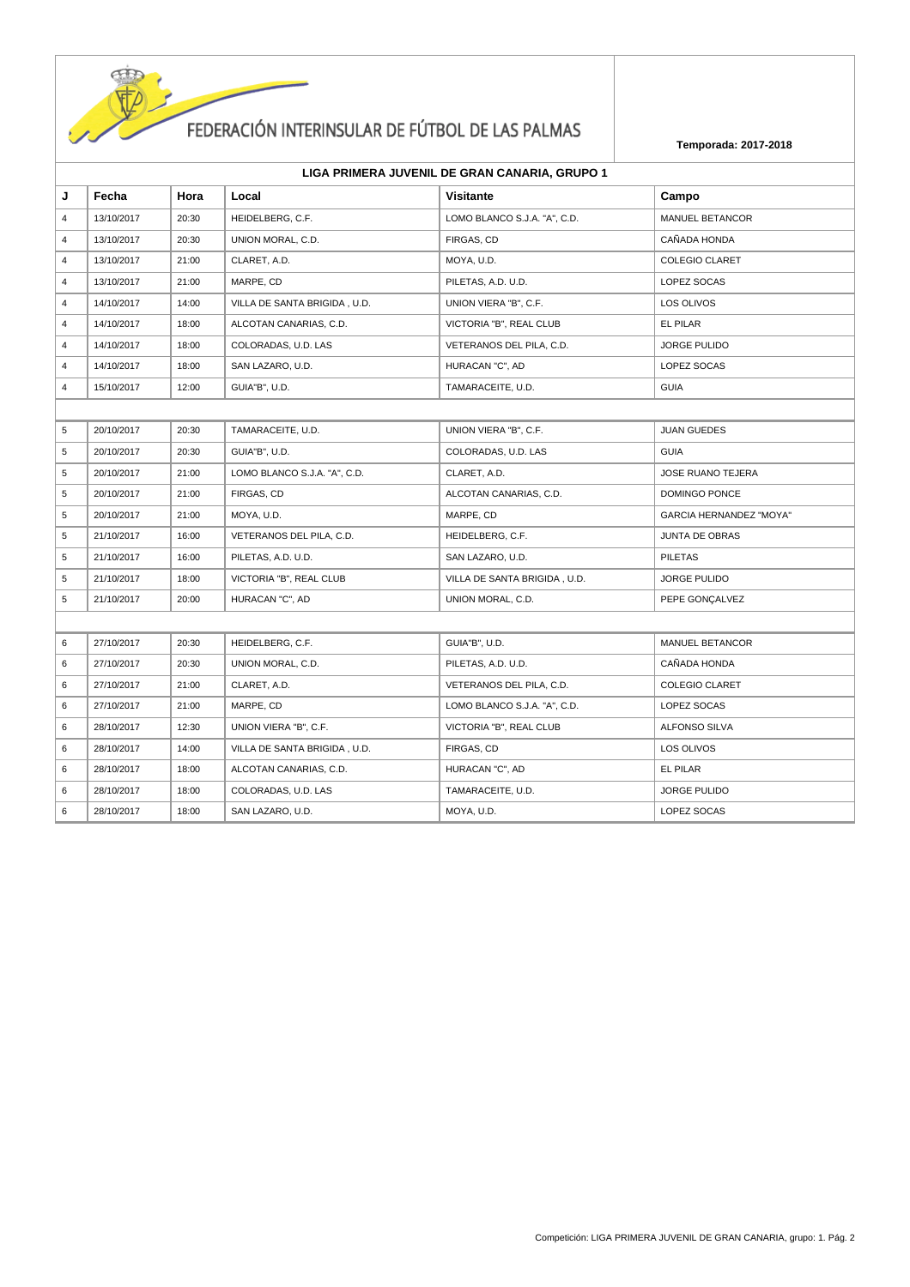

| LIGA PRIMERA JUVENIL DE GRAN CANARIA, GRUPO 1 |  |  |
|-----------------------------------------------|--|--|
|-----------------------------------------------|--|--|

| J              | Fecha      | Hora  | Local                        | <b>Visitante</b>             | Campo                          |
|----------------|------------|-------|------------------------------|------------------------------|--------------------------------|
| $\overline{4}$ | 13/10/2017 | 20:30 | HEIDELBERG, C.F.             | LOMO BLANCO S.J.A. "A", C.D. | MANUEL BETANCOR                |
| $\overline{4}$ | 13/10/2017 | 20:30 | UNION MORAL, C.D.            | FIRGAS, CD                   | CAÑADA HONDA                   |
| $\overline{4}$ | 13/10/2017 | 21:00 | CLARET, A.D.                 | MOYA, U.D.                   | <b>COLEGIO CLARET</b>          |
| 4              | 13/10/2017 | 21:00 | MARPE, CD                    | PILETAS, A.D. U.D.           | LOPEZ SOCAS                    |
| $\overline{4}$ | 14/10/2017 | 14:00 | VILLA DE SANTA BRIGIDA, U.D. | UNION VIERA "B", C.F.        | LOS OLIVOS                     |
| $\overline{4}$ | 14/10/2017 | 18:00 | ALCOTAN CANARIAS, C.D.       | VICTORIA "B", REAL CLUB      | EL PILAR                       |
| 4              | 14/10/2017 | 18:00 | COLORADAS, U.D. LAS          | VETERANOS DEL PILA, C.D.     | <b>JORGE PULIDO</b>            |
| 4              | 14/10/2017 | 18:00 | SAN LAZARO, U.D.             | HURACAN "C", AD              | LOPEZ SOCAS                    |
| $\overline{4}$ | 15/10/2017 | 12:00 | GUIA"B", U.D.                | TAMARACEITE, U.D.            | <b>GUIA</b>                    |
|                |            |       |                              |                              |                                |
| 5              | 20/10/2017 | 20:30 | TAMARACEITE, U.D.            | UNION VIERA "B", C.F.        | <b>JUAN GUEDES</b>             |
| 5              | 20/10/2017 | 20:30 | GUIA"B", U.D.                | COLORADAS, U.D. LAS          | <b>GUIA</b>                    |
| 5              | 20/10/2017 | 21:00 | LOMO BLANCO S.J.A. "A", C.D. | CLARET, A.D.                 | <b>JOSE RUANO TEJERA</b>       |
| 5              | 20/10/2017 | 21:00 | FIRGAS, CD                   | ALCOTAN CANARIAS, C.D.       | DOMINGO PONCE                  |
| 5              | 20/10/2017 | 21:00 | MOYA, U.D.                   | MARPE, CD                    | <b>GARCIA HERNANDEZ "MOYA"</b> |
| 5              | 21/10/2017 | 16:00 | VETERANOS DEL PILA, C.D.     | HEIDELBERG, C.F.             | <b>JUNTA DE OBRAS</b>          |
| 5              | 21/10/2017 | 16:00 | PILETAS, A.D. U.D.           | SAN LAZARO, U.D.             | <b>PILETAS</b>                 |
| 5              | 21/10/2017 | 18:00 | VICTORIA "B", REAL CLUB      | VILLA DE SANTA BRIGIDA, U.D. | JORGE PULIDO                   |
| 5              | 21/10/2017 | 20:00 | HURACAN "C", AD              | UNION MORAL, C.D.            | PEPE GONÇALVEZ                 |
|                |            |       |                              |                              |                                |
| 6              | 27/10/2017 | 20:30 | HEIDELBERG, C.F.             | GUIA"B", U.D.                | MANUEL BETANCOR                |
| 6              | 27/10/2017 | 20:30 | UNION MORAL, C.D.            | PILETAS, A.D. U.D.           | CAÑADA HONDA                   |
| 6              | 27/10/2017 | 21:00 | CLARET, A.D.                 | VETERANOS DEL PILA, C.D.     | <b>COLEGIO CLARET</b>          |
| 6              | 27/10/2017 | 21:00 | MARPE, CD                    | LOMO BLANCO S.J.A. "A", C.D. | LOPEZ SOCAS                    |
| 6              | 28/10/2017 | 12:30 | UNION VIERA "B", C.F.        | VICTORIA "B", REAL CLUB      | ALFONSO SILVA                  |
| 6              | 28/10/2017 | 14:00 | VILLA DE SANTA BRIGIDA, U.D. | FIRGAS, CD                   | LOS OLIVOS                     |
| 6              | 28/10/2017 | 18:00 | ALCOTAN CANARIAS, C.D.       | HURACAN "C", AD              | EL PILAR                       |
| 6              | 28/10/2017 | 18:00 | COLORADAS, U.D. LAS          | TAMARACEITE, U.D.            | <b>JORGE PULIDO</b>            |
| 6              | 28/10/2017 | 18:00 | SAN LAZARO, U.D.             | MOYA, U.D.                   | LOPEZ SOCAS                    |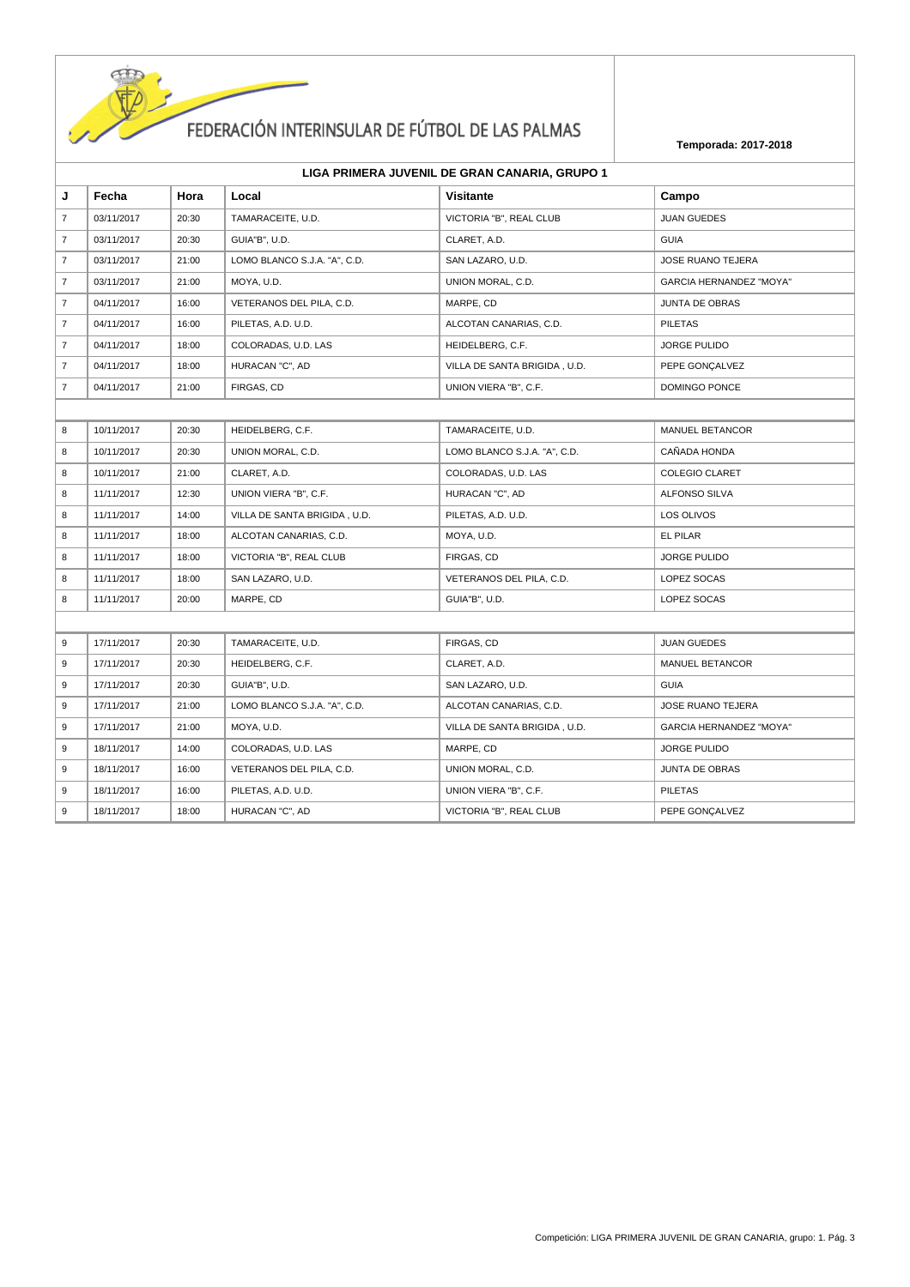

| J              | Fecha      | Hora  | Local                        | <b>Visitante</b>             | Campo                          |
|----------------|------------|-------|------------------------------|------------------------------|--------------------------------|
| $\overline{7}$ | 03/11/2017 | 20:30 | TAMARACEITE, U.D.            | VICTORIA "B", REAL CLUB      | <b>JUAN GUEDES</b>             |
| $\overline{7}$ | 03/11/2017 | 20:30 | GUIA"B", U.D.                | CLARET, A.D.                 | <b>GUIA</b>                    |
| $\overline{7}$ | 03/11/2017 | 21:00 | LOMO BLANCO S.J.A. "A", C.D. | SAN LAZARO, U.D.             | JOSE RUANO TEJERA              |
| $\overline{7}$ | 03/11/2017 | 21:00 | MOYA, U.D.                   | UNION MORAL, C.D.            | <b>GARCIA HERNANDEZ "MOYA"</b> |
| $\overline{7}$ | 04/11/2017 | 16:00 | VETERANOS DEL PILA, C.D.     | MARPE, CD                    | <b>JUNTA DE OBRAS</b>          |
| $\overline{7}$ | 04/11/2017 | 16:00 | PILETAS, A.D. U.D.           | ALCOTAN CANARIAS, C.D.       | <b>PILETAS</b>                 |
| $\overline{7}$ | 04/11/2017 | 18:00 | COLORADAS, U.D. LAS          | HEIDELBERG, C.F.             | <b>JORGE PULIDO</b>            |
| $\overline{7}$ | 04/11/2017 | 18:00 | HURACAN "C", AD              | VILLA DE SANTA BRIGIDA, U.D. | PEPE GONÇALVEZ                 |
| $\overline{7}$ | 04/11/2017 | 21:00 | FIRGAS, CD                   | UNION VIERA "B", C.F.        | DOMINGO PONCE                  |
|                |            |       |                              |                              |                                |
| 8              | 10/11/2017 | 20:30 | HEIDELBERG, C.F.             | TAMARACEITE, U.D.            | <b>MANUEL BETANCOR</b>         |
| 8              | 10/11/2017 | 20:30 | UNION MORAL, C.D.            | LOMO BLANCO S.J.A. "A", C.D. | CAÑADA HONDA                   |
| 8              | 10/11/2017 | 21:00 | CLARET, A.D.                 | COLORADAS, U.D. LAS          | <b>COLEGIO CLARET</b>          |
| 8              | 11/11/2017 | 12:30 | UNION VIERA "B", C.F.        | HURACAN "C", AD              | ALFONSO SILVA                  |
| 8              | 11/11/2017 | 14:00 | VILLA DE SANTA BRIGIDA, U.D. | PILETAS, A.D. U.D.           | LOS OLIVOS                     |
| 8              | 11/11/2017 | 18:00 | ALCOTAN CANARIAS, C.D.       | MOYA, U.D.                   | EL PILAR                       |
| 8              | 11/11/2017 | 18:00 | VICTORIA "B", REAL CLUB      | FIRGAS, CD                   | <b>JORGE PULIDO</b>            |
| 8              | 11/11/2017 | 18:00 | SAN LAZARO, U.D.             | VETERANOS DEL PILA, C.D.     | LOPEZ SOCAS                    |
| 8              | 11/11/2017 | 20:00 | MARPE, CD                    | GUIA"B", U.D.                | LOPEZ SOCAS                    |
|                |            |       |                              |                              |                                |
| 9              | 17/11/2017 | 20:30 | TAMARACEITE, U.D.            | FIRGAS, CD                   | <b>JUAN GUEDES</b>             |
| 9              | 17/11/2017 | 20:30 | HEIDELBERG, C.F.             | CLARET, A.D.                 | <b>MANUEL BETANCOR</b>         |
| 9              | 17/11/2017 | 20:30 | GUIA"B", U.D.                | SAN LAZARO, U.D.             | <b>GUIA</b>                    |
| 9              | 17/11/2017 | 21:00 | LOMO BLANCO S.J.A. "A", C.D. | ALCOTAN CANARIAS, C.D.       | <b>JOSE RUANO TEJERA</b>       |
| 9              | 17/11/2017 | 21:00 | MOYA, U.D.                   | VILLA DE SANTA BRIGIDA, U.D. | GARCIA HERNANDEZ "MOYA"        |
| 9              | 18/11/2017 | 14:00 | COLORADAS, U.D. LAS          | MARPE, CD                    | <b>JORGE PULIDO</b>            |
| 9              | 18/11/2017 | 16:00 | VETERANOS DEL PILA, C.D.     | UNION MORAL, C.D.            | <b>JUNTA DE OBRAS</b>          |
| 9              | 18/11/2017 | 16:00 | PILETAS, A.D. U.D.           | UNION VIERA "B", C.F.        | <b>PILETAS</b>                 |
| 9              | 18/11/2017 | 18:00 | HURACAN "C", AD              | VICTORIA "B", REAL CLUB      | PEPE GONÇALVEZ                 |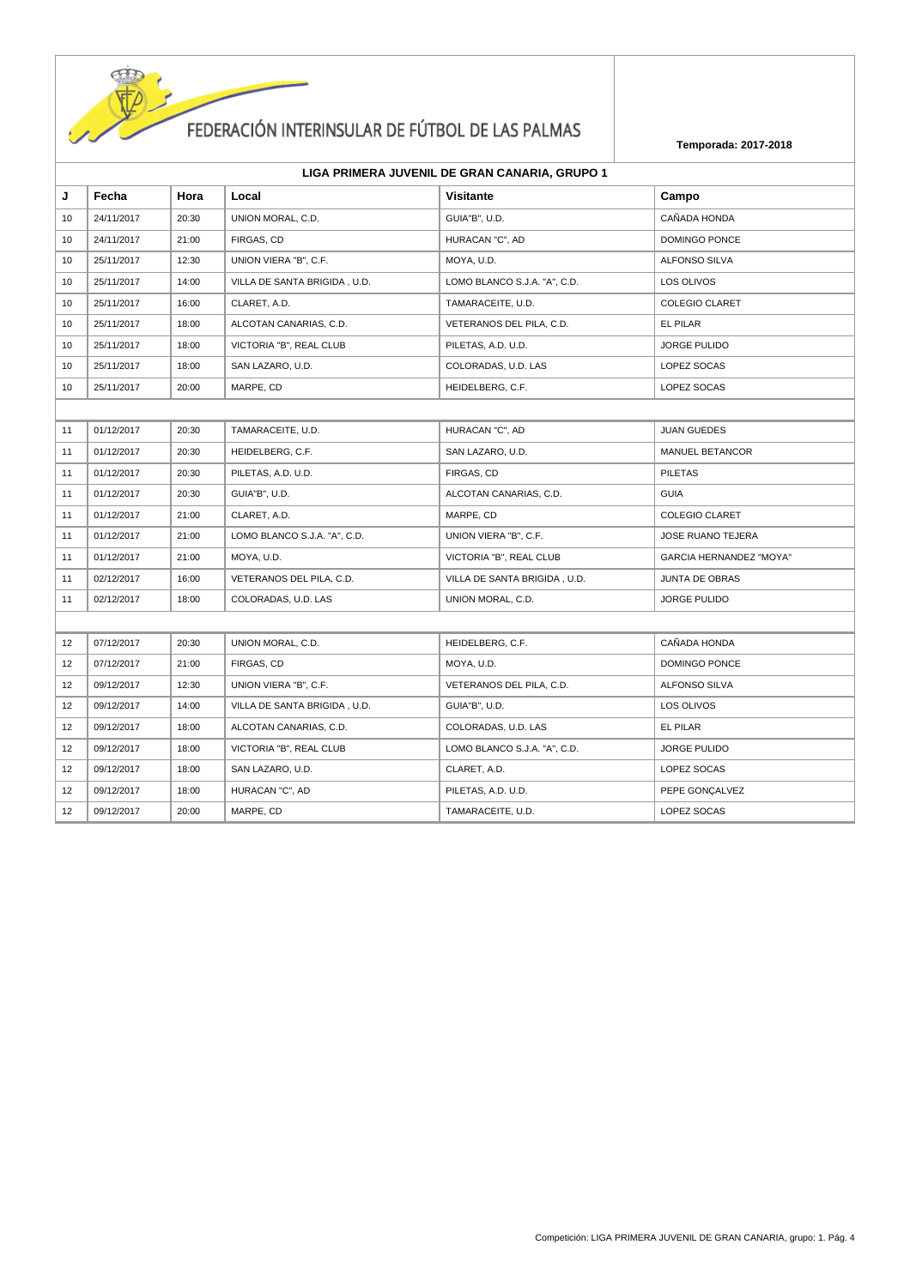

|    | LIGA PRIMERA JUVENIL DE GRAN CANARIA, GRUPO 1 |       |                              |                              |                                |  |
|----|-----------------------------------------------|-------|------------------------------|------------------------------|--------------------------------|--|
| J  | Fecha                                         | Hora  | Local                        | Visitante                    | Campo                          |  |
| 10 | 24/11/2017                                    | 20:30 | UNION MORAL, C.D.            | GUIA"B", U.D.                | CAÑADA HONDA                   |  |
| 10 | 24/11/2017                                    | 21:00 | FIRGAS, CD                   | HURACAN "C", AD              | DOMINGO PONCE                  |  |
| 10 | 25/11/2017                                    | 12:30 | UNION VIERA "B", C.F.        | MOYA, U.D.                   | <b>ALFONSO SILVA</b>           |  |
| 10 | 25/11/2017                                    | 14:00 | VILLA DE SANTA BRIGIDA, U.D. | LOMO BLANCO S.J.A. "A", C.D. | LOS OLIVOS                     |  |
| 10 | 25/11/2017                                    | 16:00 | CLARET, A.D.                 | TAMARACEITE, U.D.            | <b>COLEGIO CLARET</b>          |  |
| 10 | 25/11/2017                                    | 18:00 | ALCOTAN CANARIAS, C.D.       | VETERANOS DEL PILA, C.D.     | EL PILAR                       |  |
| 10 | 25/11/2017                                    | 18:00 | VICTORIA "B", REAL CLUB      | PILETAS, A.D. U.D.           | <b>JORGE PULIDO</b>            |  |
| 10 | 25/11/2017                                    | 18:00 | SAN LAZARO, U.D.             | COLORADAS, U.D. LAS          | LOPEZ SOCAS                    |  |
| 10 | 25/11/2017                                    | 20:00 | MARPE, CD                    | HEIDELBERG, C.F.             | LOPEZ SOCAS                    |  |
|    |                                               |       |                              |                              |                                |  |
| 11 | 01/12/2017                                    | 20:30 | TAMARACEITE, U.D.            | HURACAN "C", AD              | <b>JUAN GUEDES</b>             |  |
| 11 | 01/12/2017                                    | 20:30 | HEIDELBERG, C.F.             | SAN LAZARO, U.D.             | MANUEL BETANCOR                |  |
| 11 | 01/12/2017                                    | 20:30 | PILETAS, A.D. U.D.           | FIRGAS, CD                   | <b>PILETAS</b>                 |  |
| 11 | 01/12/2017                                    | 20:30 | GUIA"B", U.D.                | ALCOTAN CANARIAS, C.D.       | <b>GUIA</b>                    |  |
| 11 | 01/12/2017                                    | 21:00 | CLARET, A.D.                 | MARPE, CD                    | <b>COLEGIO CLARET</b>          |  |
| 11 | 01/12/2017                                    | 21:00 | LOMO BLANCO S.J.A. "A", C.D. | UNION VIERA "B", C.F.        | JOSE RUANO TEJERA              |  |
| 11 | 01/12/2017                                    | 21:00 | MOYA, U.D.                   | VICTORIA "B", REAL CLUB      | <b>GARCIA HERNANDEZ "MOYA"</b> |  |
| 11 | 02/12/2017                                    | 16:00 | VETERANOS DEL PILA, C.D.     | VILLA DE SANTA BRIGIDA, U.D. | <b>JUNTA DE OBRAS</b>          |  |
| 11 | 02/12/2017                                    | 18:00 | COLORADAS, U.D. LAS          | UNION MORAL, C.D.            | <b>JORGE PULIDO</b>            |  |
|    |                                               |       |                              |                              |                                |  |
| 12 | 07/12/2017                                    | 20:30 | UNION MORAL, C.D.            | HEIDELBERG, C.F.             | CAÑADA HONDA                   |  |
| 12 | 07/12/2017                                    | 21:00 | FIRGAS, CD                   | MOYA, U.D.                   | DOMINGO PONCE                  |  |
| 12 | 09/12/2017                                    | 12:30 | UNION VIERA "B", C.F.        | VETERANOS DEL PILA, C.D.     | ALFONSO SILVA                  |  |
| 12 | 09/12/2017                                    | 14:00 | VILLA DE SANTA BRIGIDA, U.D. | GUIA"B", U.D.                | LOS OLIVOS                     |  |
| 12 | 09/12/2017                                    | 18:00 | ALCOTAN CANARIAS, C.D.       | COLORADAS, U.D. LAS          | EL PILAR                       |  |
| 12 | 09/12/2017                                    | 18:00 | VICTORIA "B", REAL CLUB      | LOMO BLANCO S.J.A. "A", C.D. | <b>JORGE PULIDO</b>            |  |
| 12 | 09/12/2017                                    | 18:00 | SAN LAZARO, U.D.             | CLARET, A.D.                 | LOPEZ SOCAS                    |  |
| 12 | 09/12/2017                                    | 18:00 | HURACAN "C", AD              | PILETAS, A.D. U.D.           | PEPE GONÇALVEZ                 |  |
| 12 | 09/12/2017                                    | 20:00 | MARPE, CD                    | TAMARACEITE, U.D.            | LOPEZ SOCAS                    |  |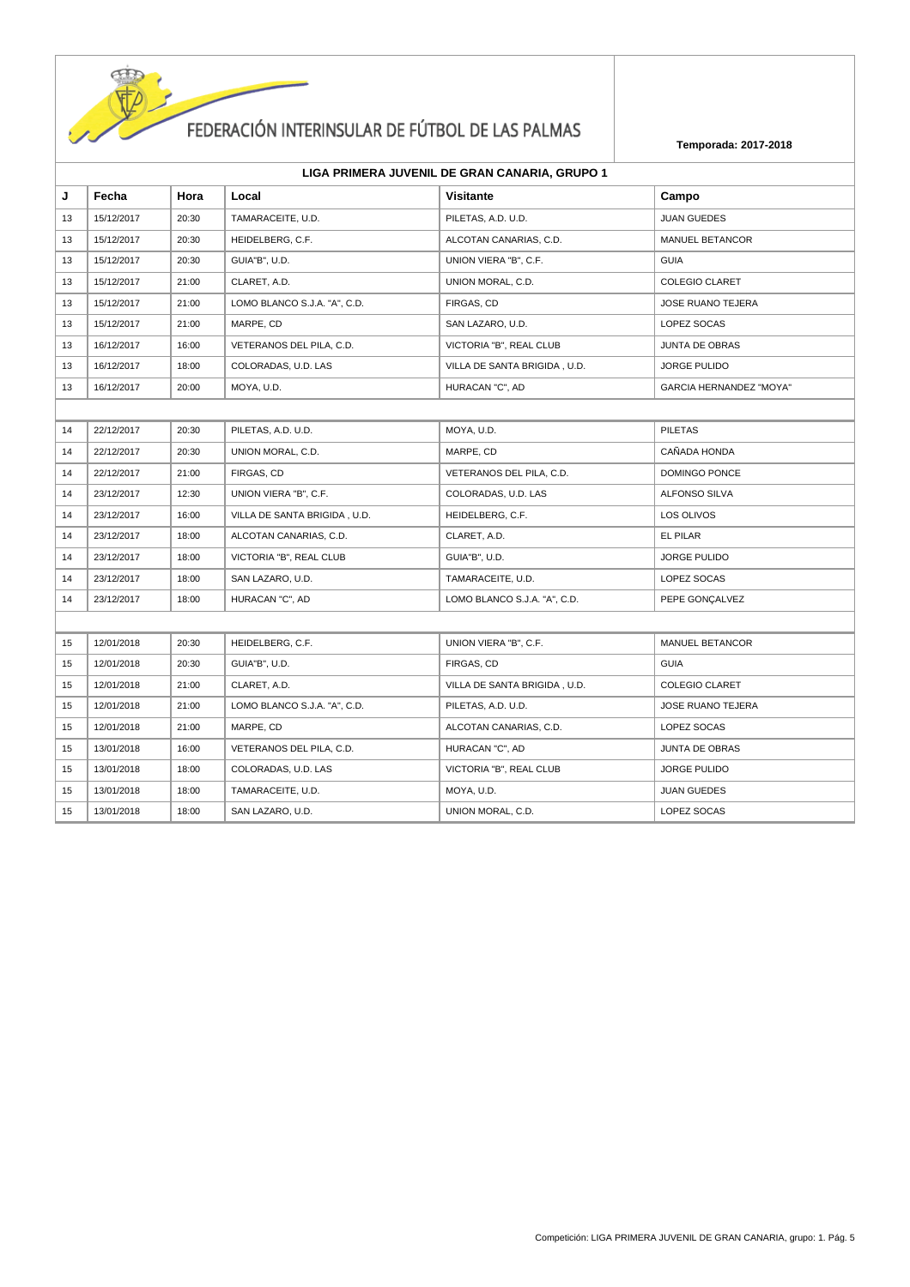

|    | LIGA PRIMERA JUVENIL DE GRAN CANARIA, GRUPO 1 |       |                              |                              |                          |  |
|----|-----------------------------------------------|-------|------------------------------|------------------------------|--------------------------|--|
| J  | Fecha                                         | Hora  | Local                        | <b>Visitante</b>             | Campo                    |  |
| 13 | 15/12/2017                                    | 20:30 | TAMARACEITE, U.D.            | PILETAS, A.D. U.D.           | <b>JUAN GUEDES</b>       |  |
| 13 | 15/12/2017                                    | 20:30 | HEIDELBERG, C.F.             | ALCOTAN CANARIAS, C.D.       | <b>MANUEL BETANCOR</b>   |  |
| 13 | 15/12/2017                                    | 20:30 | GUIA"B". U.D.                | UNION VIERA "B", C.F.        | <b>GUIA</b>              |  |
| 13 | 15/12/2017                                    | 21:00 | CLARET. A.D.                 | UNION MORAL, C.D.            | <b>COLEGIO CLARET</b>    |  |
| 13 | 15/12/2017                                    | 21:00 | LOMO BLANCO S.J.A. "A", C.D. | FIRGAS, CD                   | <b>JOSE RUANO TEJERA</b> |  |
| 13 | 15/12/2017                                    | 21:00 | MARPE, CD                    | SAN LAZARO, U.D.             | LOPEZ SOCAS              |  |
| 13 | 16/12/2017                                    | 16:00 | VETERANOS DEL PILA, C.D.     | VICTORIA "B". REAL CLUB      | <b>JUNTA DE OBRAS</b>    |  |
| 13 | 16/12/2017                                    | 18:00 | COLORADAS, U.D. LAS          | VILLA DE SANTA BRIGIDA, U.D. | <b>JORGE PULIDO</b>      |  |
|    |                                               |       |                              |                              |                          |  |

| 13 | 16/12/2017 | 18:00 | COLORADAS, U.D. LAS          | VILLA DE SANTA BRIGIDA, U.D. | <b>JORGE PULIDO</b>            |
|----|------------|-------|------------------------------|------------------------------|--------------------------------|
| 13 | 16/12/2017 | 20:00 | MOYA, U.D.                   | HURACAN "C", AD              | <b>GARCIA HERNANDEZ "MOYA"</b> |
|    |            |       |                              |                              |                                |
| 14 | 22/12/2017 | 20:30 | PILETAS, A.D. U.D.           | MOYA, U.D.                   | <b>PILETAS</b>                 |
| 14 | 22/12/2017 | 20:30 | UNION MORAL, C.D.            | MARPE, CD                    | CAÑADA HONDA                   |
| 14 | 22/12/2017 | 21:00 | FIRGAS, CD                   | VETERANOS DEL PILA, C.D.     | <b>DOMINGO PONCE</b>           |
| 14 | 23/12/2017 | 12:30 | UNION VIERA "B", C.F.        | COLORADAS, U.D. LAS          | <b>ALFONSO SILVA</b>           |
| 14 | 23/12/2017 | 16:00 | VILLA DE SANTA BRIGIDA, U.D. | HEIDELBERG, C.F.             | LOS OLIVOS                     |
| 14 | 23/12/2017 | 18:00 | ALCOTAN CANARIAS, C.D.       | CLARET, A.D.                 | EL PILAR                       |
| 14 | 23/12/2017 | 18:00 | VICTORIA "B", REAL CLUB      | GUIA"B", U.D.                | <b>JORGE PULIDO</b>            |
| 14 | 23/12/2017 | 18:00 | SAN LAZARO, U.D.             | TAMARACEITE, U.D.            | LOPEZ SOCAS                    |
| 14 | 23/12/2017 | 18:00 | HURACAN "C", AD              | LOMO BLANCO S.J.A. "A", C.D. | PEPE GONCALVEZ                 |
|    |            |       |                              |                              |                                |
| 15 | 12/01/2018 | 20:30 | HEIDELBERG, C.F.             | UNION VIERA "B", C.F.        | MANUEL BETANCOR                |
| 15 | 12/01/2018 | 20:30 | GUIA"B", U.D.                | FIRGAS, CD                   | <b>GUIA</b>                    |
| 15 | 12/01/2018 | 21:00 | CLARET, A.D.                 | VILLA DE SANTA BRIGIDA, U.D. | <b>COLEGIO CLARET</b>          |
| 15 | 12/01/2018 | 21:00 | LOMO BLANCO S.J.A. "A", C.D. | PILETAS, A.D. U.D.           | <b>JOSE RUANO TEJERA</b>       |
| 15 | 12/01/2018 | 21:00 | MARPE, CD                    | ALCOTAN CANARIAS, C.D.       | LOPEZ SOCAS                    |
| 15 | 13/01/2018 | 16:00 | VETERANOS DEL PILA, C.D.     | HURACAN "C", AD              | <b>JUNTA DE OBRAS</b>          |
| 15 | 13/01/2018 | 18:00 | COLORADAS, U.D. LAS          | VICTORIA "B", REAL CLUB      | <b>JORGE PULIDO</b>            |
| 15 | 13/01/2018 | 18:00 | TAMARACEITE, U.D.            | MOYA, U.D.                   | <b>JUAN GUEDES</b>             |
| 15 | 13/01/2018 | 18:00 | SAN LAZARO, U.D.             | UNION MORAL, C.D.            | LOPEZ SOCAS                    |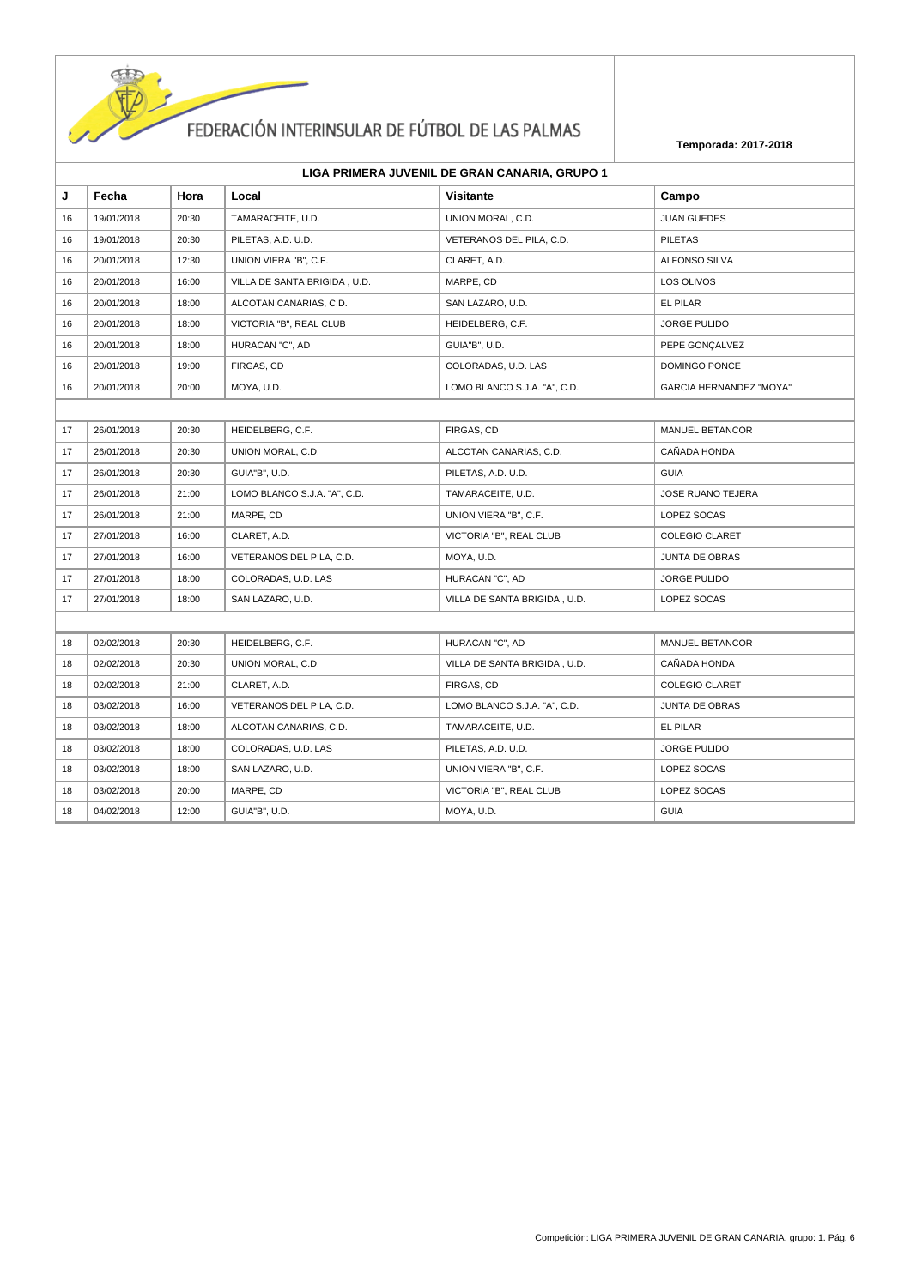

| J  | Fecha      | Hora  | Local                        | <b>Visitante</b>             | Campo                          |
|----|------------|-------|------------------------------|------------------------------|--------------------------------|
| 16 | 19/01/2018 | 20:30 | TAMARACEITE, U.D.            | UNION MORAL, C.D.            | <b>JUAN GUEDES</b>             |
| 16 | 19/01/2018 | 20:30 | PILETAS, A.D. U.D.           | VETERANOS DEL PILA, C.D.     | <b>PILETAS</b>                 |
| 16 | 20/01/2018 | 12:30 | UNION VIERA "B", C.F.        | CLARET, A.D.                 | ALFONSO SILVA                  |
| 16 | 20/01/2018 | 16:00 | VILLA DE SANTA BRIGIDA, U.D. | MARPE, CD                    | LOS OLIVOS                     |
| 16 | 20/01/2018 | 18:00 | ALCOTAN CANARIAS, C.D.       | SAN LAZARO, U.D.             | EL PILAR                       |
| 16 | 20/01/2018 | 18:00 | VICTORIA "B", REAL CLUB      | HEIDELBERG, C.F.             | <b>JORGE PULIDO</b>            |
| 16 | 20/01/2018 | 18:00 | HURACAN "C", AD              | GUIA"B", U.D.                | PEPE GONÇALVEZ                 |
| 16 | 20/01/2018 | 19:00 | FIRGAS, CD                   | COLORADAS, U.D. LAS          | DOMINGO PONCE                  |
| 16 | 20/01/2018 | 20:00 | MOYA, U.D.                   | LOMO BLANCO S.J.A. "A", C.D. | <b>GARCIA HERNANDEZ "MOYA"</b> |
|    |            |       |                              |                              |                                |
| 17 | 26/01/2018 | 20:30 | HEIDELBERG, C.F.             | FIRGAS, CD                   | MANUEL BETANCOR                |
| 17 | 26/01/2018 | 20:30 | UNION MORAL, C.D.            | ALCOTAN CANARIAS, C.D.       | CAÑADA HONDA                   |
| 17 | 26/01/2018 | 20:30 | GUIA"B", U.D.                | PILETAS, A.D. U.D.           | <b>GUIA</b>                    |
| 17 | 26/01/2018 | 21:00 | LOMO BLANCO S.J.A. "A", C.D. | TAMARACEITE, U.D.            | <b>JOSE RUANO TEJERA</b>       |
| 17 | 26/01/2018 | 21:00 | MARPE, CD                    | UNION VIERA "B", C.F.        | LOPEZ SOCAS                    |
| 17 | 27/01/2018 | 16:00 | CLARET, A.D.                 | VICTORIA "B", REAL CLUB      | <b>COLEGIO CLARET</b>          |
| 17 | 27/01/2018 | 16:00 | VETERANOS DEL PILA, C.D.     | MOYA, U.D.                   | <b>JUNTA DE OBRAS</b>          |
| 17 | 27/01/2018 | 18:00 | COLORADAS, U.D. LAS          | HURACAN "C", AD              | <b>JORGE PULIDO</b>            |
| 17 | 27/01/2018 | 18:00 | SAN LAZARO, U.D.             | VILLA DE SANTA BRIGIDA, U.D. | LOPEZ SOCAS                    |
|    |            |       |                              |                              |                                |
| 18 | 02/02/2018 | 20:30 | HEIDELBERG, C.F.             | HURACAN "C", AD              | MANUEL BETANCOR                |
| 18 | 02/02/2018 | 20:30 | UNION MORAL, C.D.            | VILLA DE SANTA BRIGIDA, U.D. | CAÑADA HONDA                   |
| 18 | 02/02/2018 | 21:00 | CLARET, A.D.                 | FIRGAS, CD                   | <b>COLEGIO CLARET</b>          |
| 18 | 03/02/2018 | 16:00 | VETERANOS DEL PILA, C.D.     | LOMO BLANCO S.J.A. "A", C.D. | <b>JUNTA DE OBRAS</b>          |
| 18 | 03/02/2018 | 18:00 | ALCOTAN CANARIAS, C.D.       | TAMARACEITE, U.D.            | EL PILAR                       |
| 18 | 03/02/2018 | 18:00 | COLORADAS, U.D. LAS          | PILETAS, A.D. U.D.           | <b>JORGE PULIDO</b>            |
| 18 | 03/02/2018 | 18:00 | SAN LAZARO, U.D.             | UNION VIERA "B", C.F.        | LOPEZ SOCAS                    |
| 18 | 03/02/2018 | 20:00 | MARPE, CD                    | VICTORIA "B", REAL CLUB      | LOPEZ SOCAS                    |
| 18 | 04/02/2018 | 12:00 | GUIA"B", U.D.                | MOYA, U.D.                   | <b>GUIA</b>                    |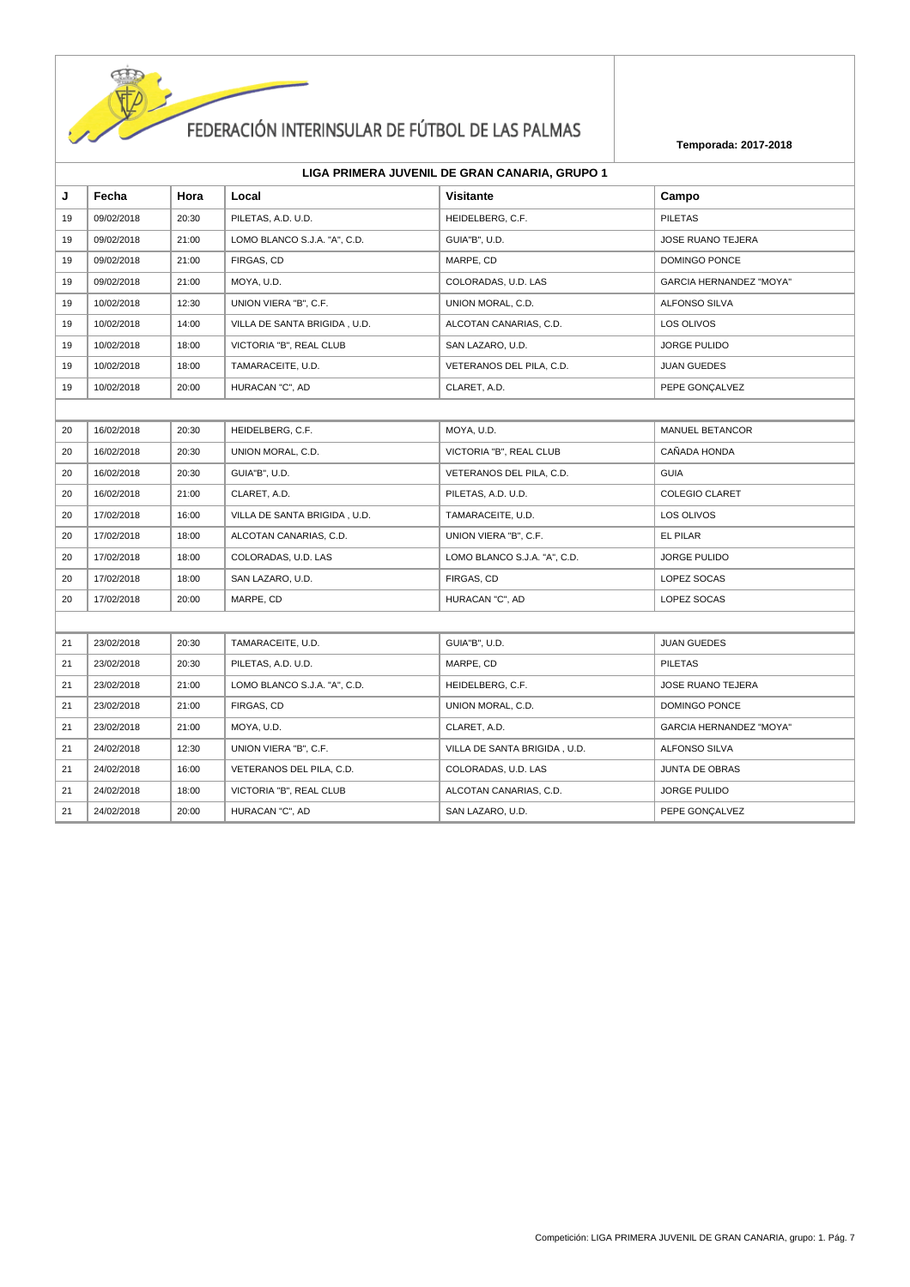

|  | LIGA PRIMERA JUVENIL DE GRAN CANARIA, GRUPO 1 |
|--|-----------------------------------------------|
|--|-----------------------------------------------|

| J  | Fecha      | Hora  | Local                        | Visitante                    | Campo                          |
|----|------------|-------|------------------------------|------------------------------|--------------------------------|
| 19 | 09/02/2018 | 20:30 | PILETAS, A.D. U.D.           | HEIDELBERG, C.F.             | <b>PILETAS</b>                 |
| 19 | 09/02/2018 | 21:00 | LOMO BLANCO S.J.A. "A", C.D. | GUIA"B", U.D.                | <b>JOSE RUANO TEJERA</b>       |
| 19 | 09/02/2018 | 21:00 | FIRGAS, CD                   | MARPE, CD                    | DOMINGO PONCE                  |
| 19 | 09/02/2018 | 21:00 | MOYA, U.D.                   | COLORADAS, U.D. LAS          | <b>GARCIA HERNANDEZ "MOYA"</b> |
| 19 | 10/02/2018 | 12:30 | UNION VIERA "B", C.F.        | UNION MORAL, C.D.            | ALFONSO SILVA                  |
| 19 | 10/02/2018 | 14:00 | VILLA DE SANTA BRIGIDA, U.D. | ALCOTAN CANARIAS, C.D.       | LOS OLIVOS                     |
| 19 | 10/02/2018 | 18:00 | VICTORIA "B", REAL CLUB      | SAN LAZARO, U.D.             | <b>JORGE PULIDO</b>            |
| 19 | 10/02/2018 | 18:00 | TAMARACEITE, U.D.            | VETERANOS DEL PILA, C.D.     | <b>JUAN GUEDES</b>             |
| 19 | 10/02/2018 | 20:00 | HURACAN "C", AD              | CLARET, A.D.                 | PEPE GONÇALVEZ                 |
|    |            |       |                              |                              |                                |
| 20 | 16/02/2018 | 20:30 | HEIDELBERG, C.F.             | MOYA, U.D.                   | <b>MANUEL BETANCOR</b>         |
| 20 | 16/02/2018 | 20:30 | UNION MORAL, C.D.            | VICTORIA "B", REAL CLUB      | CAÑADA HONDA                   |
| 20 | 16/02/2018 | 20:30 | GUIA"B", U.D.                | VETERANOS DEL PILA, C.D.     | <b>GUIA</b>                    |
| 20 | 16/02/2018 | 21:00 | CLARET, A.D.                 | PILETAS, A.D. U.D.           | <b>COLEGIO CLARET</b>          |
| 20 | 17/02/2018 | 16:00 | VILLA DE SANTA BRIGIDA, U.D. | TAMARACEITE, U.D.            | LOS OLIVOS                     |
| 20 | 17/02/2018 | 18:00 | ALCOTAN CANARIAS, C.D.       | UNION VIERA "B", C.F.        | EL PILAR                       |
| 20 | 17/02/2018 | 18:00 | COLORADAS, U.D. LAS          | LOMO BLANCO S.J.A. "A", C.D. | <b>JORGE PULIDO</b>            |
| 20 | 17/02/2018 | 18:00 | SAN LAZARO, U.D.             | FIRGAS, CD                   | LOPEZ SOCAS                    |
| 20 | 17/02/2018 | 20:00 | MARPE, CD                    | HURACAN "C", AD              | LOPEZ SOCAS                    |
|    |            |       |                              |                              |                                |
| 21 | 23/02/2018 | 20:30 | TAMARACEITE, U.D.            | GUIA"B", U.D.                | <b>JUAN GUEDES</b>             |
| 21 | 23/02/2018 | 20:30 | PILETAS, A.D. U.D.           | MARPE, CD                    | <b>PILETAS</b>                 |
| 21 | 23/02/2018 | 21:00 | LOMO BLANCO S.J.A. "A", C.D. | HEIDELBERG, C.F.             | JOSE RUANO TEJERA              |
| 21 | 23/02/2018 | 21:00 | FIRGAS, CD                   | UNION MORAL, C.D.            | DOMINGO PONCE                  |
| 21 | 23/02/2018 | 21:00 | MOYA, U.D.                   | CLARET, A.D.                 | <b>GARCIA HERNANDEZ "MOYA"</b> |
| 21 | 24/02/2018 | 12:30 | UNION VIERA "B", C.F.        | VILLA DE SANTA BRIGIDA, U.D. | <b>ALFONSO SILVA</b>           |
| 21 | 24/02/2018 | 16:00 | VETERANOS DEL PILA, C.D.     | COLORADAS, U.D. LAS          | <b>JUNTA DE OBRAS</b>          |
| 21 | 24/02/2018 | 18:00 | VICTORIA "B", REAL CLUB      | ALCOTAN CANARIAS, C.D.       | <b>JORGE PULIDO</b>            |
| 21 | 24/02/2018 | 20:00 | HURACAN "C", AD              | SAN LAZARO, U.D.             | PEPE GONÇALVEZ                 |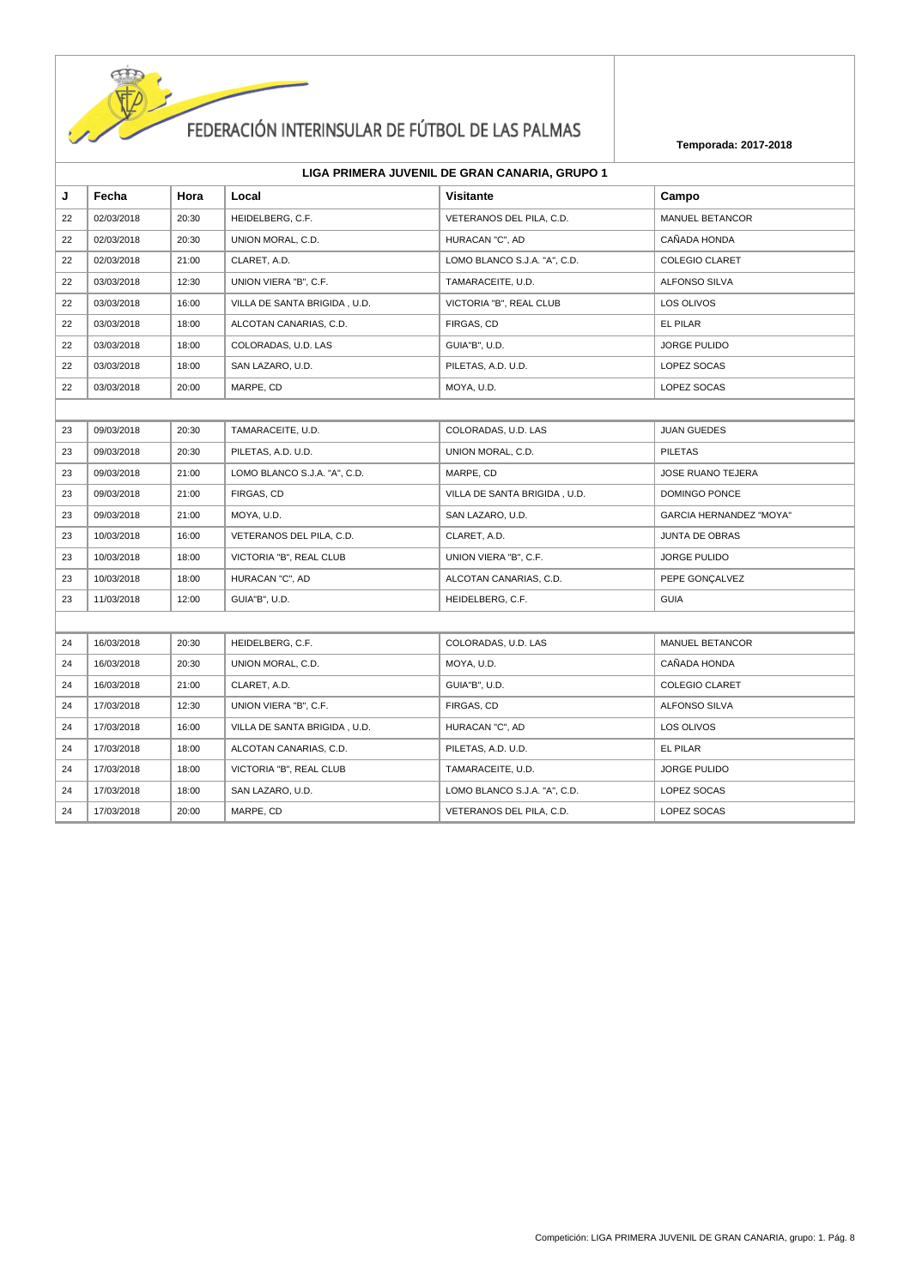

| LIGA PRIMERA JUVENIL DE GRAN CANARIA, GRUPO 1 |  |  |  |
|-----------------------------------------------|--|--|--|
|-----------------------------------------------|--|--|--|

| J  | Fecha      | Hora  | Local                        | <b>Visitante</b>             | Campo                          |
|----|------------|-------|------------------------------|------------------------------|--------------------------------|
| 22 | 02/03/2018 | 20:30 | HEIDELBERG, C.F.             | VETERANOS DEL PILA, C.D.     | MANUEL BETANCOR                |
| 22 | 02/03/2018 | 20:30 | UNION MORAL, C.D.            | HURACAN "C", AD              | CAÑADA HONDA                   |
| 22 | 02/03/2018 | 21:00 | CLARET, A.D.                 | LOMO BLANCO S.J.A. "A", C.D. | <b>COLEGIO CLARET</b>          |
| 22 | 03/03/2018 | 12:30 | UNION VIERA "B", C.F.        | TAMARACEITE, U.D.            | <b>ALFONSO SILVA</b>           |
| 22 | 03/03/2018 | 16:00 | VILLA DE SANTA BRIGIDA, U.D. | VICTORIA "B", REAL CLUB      | LOS OLIVOS                     |
| 22 | 03/03/2018 | 18:00 | ALCOTAN CANARIAS, C.D.       | FIRGAS, CD                   | EL PILAR                       |
| 22 | 03/03/2018 | 18:00 | COLORADAS, U.D. LAS          | GUIA"B", U.D.                | <b>JORGE PULIDO</b>            |
| 22 | 03/03/2018 | 18:00 | SAN LAZARO, U.D.             | PILETAS, A.D. U.D.           | LOPEZ SOCAS                    |
| 22 | 03/03/2018 | 20:00 | MARPE, CD                    | MOYA, U.D.                   | LOPEZ SOCAS                    |
|    |            |       |                              |                              |                                |
| 23 | 09/03/2018 | 20:30 | TAMARACEITE, U.D.            | COLORADAS, U.D. LAS          | <b>JUAN GUEDES</b>             |
| 23 | 09/03/2018 | 20:30 | PILETAS, A.D. U.D.           | UNION MORAL, C.D.            | <b>PILETAS</b>                 |
| 23 | 09/03/2018 | 21:00 | LOMO BLANCO S.J.A. "A", C.D. | MARPE, CD                    | JOSE RUANO TEJERA              |
| 23 | 09/03/2018 | 21:00 | FIRGAS, CD                   | VILLA DE SANTA BRIGIDA, U.D. | DOMINGO PONCE                  |
| 23 | 09/03/2018 | 21:00 | MOYA, U.D.                   | SAN LAZARO, U.D.             | <b>GARCIA HERNANDEZ "MOYA"</b> |
| 23 | 10/03/2018 | 16:00 | VETERANOS DEL PILA, C.D.     | CLARET, A.D.                 | <b>JUNTA DE OBRAS</b>          |
| 23 | 10/03/2018 | 18:00 | VICTORIA "B", REAL CLUB      | UNION VIERA "B", C.F.        | <b>JORGE PULIDO</b>            |
| 23 | 10/03/2018 | 18:00 | HURACAN "C", AD              | ALCOTAN CANARIAS, C.D.       | PEPE GONÇALVEZ                 |
| 23 | 11/03/2018 | 12:00 | GUIA"B", U.D.                | HEIDELBERG, C.F.             | <b>GUIA</b>                    |
|    |            |       |                              |                              |                                |
| 24 | 16/03/2018 | 20:30 | HEIDELBERG, C.F.             | COLORADAS, U.D. LAS          | MANUEL BETANCOR                |
| 24 | 16/03/2018 | 20:30 | UNION MORAL, C.D.            | MOYA, U.D.                   | CAÑADA HONDA                   |
| 24 | 16/03/2018 | 21:00 | CLARET, A.D.                 | GUIA"B", U.D.                | <b>COLEGIO CLARET</b>          |
| 24 | 17/03/2018 | 12:30 | UNION VIERA "B", C.F.        | FIRGAS, CD                   | ALFONSO SILVA                  |
| 24 | 17/03/2018 | 16:00 | VILLA DE SANTA BRIGIDA, U.D. | HURACAN "C", AD              | LOS OLIVOS                     |
| 24 | 17/03/2018 | 18:00 | ALCOTAN CANARIAS, C.D.       | PILETAS, A.D. U.D.           | <b>EL PILAR</b>                |
| 24 | 17/03/2018 | 18:00 | VICTORIA "B", REAL CLUB      | TAMARACEITE, U.D.            | <b>JORGE PULIDO</b>            |
| 24 | 17/03/2018 | 18:00 | SAN LAZARO, U.D.             | LOMO BLANCO S.J.A. "A", C.D. | LOPEZ SOCAS                    |
| 24 | 17/03/2018 | 20:00 | MARPE, CD                    | VETERANOS DEL PILA, C.D.     | LOPEZ SOCAS                    |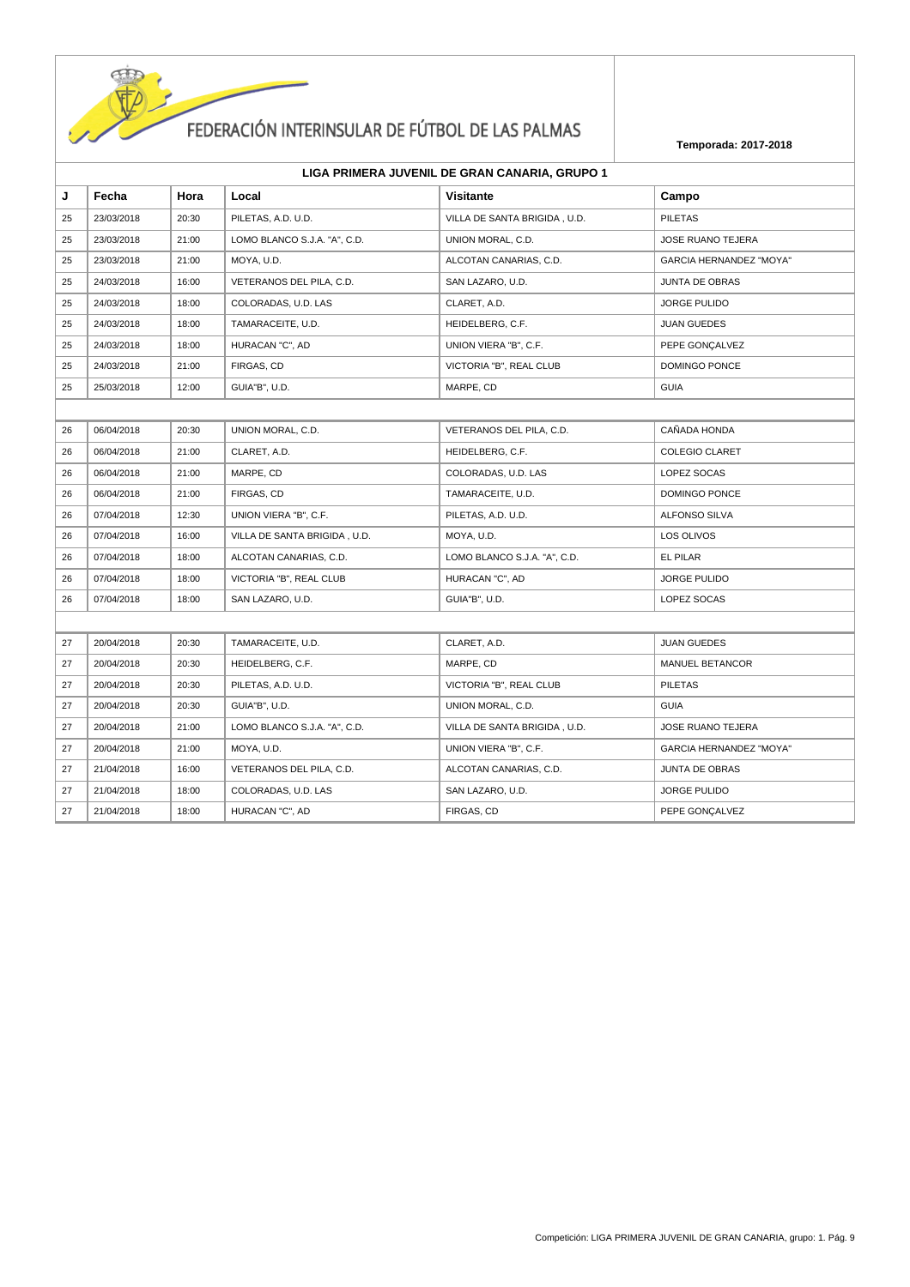

| J  | Fecha      | Hora  | Local                        | <b>Visitante</b>             | Campo                          |
|----|------------|-------|------------------------------|------------------------------|--------------------------------|
| 25 | 23/03/2018 | 20:30 | PILETAS, A.D. U.D.           | VILLA DE SANTA BRIGIDA, U.D. | <b>PILETAS</b>                 |
| 25 | 23/03/2018 | 21:00 | LOMO BLANCO S.J.A. "A", C.D. | UNION MORAL, C.D.            | JOSE RUANO TEJERA              |
| 25 | 23/03/2018 | 21:00 | MOYA, U.D.                   | ALCOTAN CANARIAS, C.D.       | <b>GARCIA HERNANDEZ "MOYA"</b> |
| 25 | 24/03/2018 | 16:00 | VETERANOS DEL PILA, C.D.     | SAN LAZARO, U.D.             | JUNTA DE OBRAS                 |
| 25 | 24/03/2018 | 18:00 | COLORADAS, U.D. LAS          | CLARET, A.D.                 | <b>JORGE PULIDO</b>            |
| 25 | 24/03/2018 | 18:00 | TAMARACEITE, U.D.            | HEIDELBERG, C.F.             | <b>JUAN GUEDES</b>             |
| 25 | 24/03/2018 | 18:00 | HURACAN "C", AD              | UNION VIERA "B", C.F.        | PEPE GONÇALVEZ                 |
| 25 | 24/03/2018 | 21:00 | FIRGAS, CD                   | VICTORIA "B", REAL CLUB      | DOMINGO PONCE                  |
| 25 | 25/03/2018 | 12:00 | GUIA"B", U.D.                | MARPE, CD                    | <b>GUIA</b>                    |
|    |            |       |                              |                              |                                |
| 26 | 06/04/2018 | 20:30 | UNION MORAL, C.D.            | VETERANOS DEL PILA, C.D.     | CAÑADA HONDA                   |
| 26 | 06/04/2018 | 21:00 | CLARET, A.D.                 | HEIDELBERG, C.F.             | <b>COLEGIO CLARET</b>          |
| 26 | 06/04/2018 | 21:00 | MARPE, CD                    | COLORADAS, U.D. LAS          | LOPEZ SOCAS                    |
| 26 | 06/04/2018 | 21:00 | FIRGAS, CD                   | TAMARACEITE, U.D.            | DOMINGO PONCE                  |
| 26 | 07/04/2018 | 12:30 | UNION VIERA "B", C.F.        | PILETAS, A.D. U.D.           | ALFONSO SILVA                  |
| 26 | 07/04/2018 | 16:00 | VILLA DE SANTA BRIGIDA, U.D. | MOYA, U.D.                   | LOS OLIVOS                     |
| 26 | 07/04/2018 | 18:00 | ALCOTAN CANARIAS, C.D.       | LOMO BLANCO S.J.A. "A", C.D. | EL PILAR                       |
| 26 | 07/04/2018 | 18:00 | VICTORIA "B", REAL CLUB      | HURACAN "C", AD              | <b>JORGE PULIDO</b>            |
| 26 | 07/04/2018 | 18:00 | SAN LAZARO, U.D.             | GUIA"B", U.D.                | LOPEZ SOCAS                    |
|    |            |       |                              |                              |                                |
| 27 | 20/04/2018 | 20:30 | TAMARACEITE, U.D.            | CLARET, A.D.                 | <b>JUAN GUEDES</b>             |
| 27 | 20/04/2018 | 20:30 | HEIDELBERG, C.F.             | MARPE, CD                    | MANUEL BETANCOR                |
| 27 | 20/04/2018 | 20:30 | PILETAS, A.D. U.D.           | VICTORIA "B", REAL CLUB      | <b>PILETAS</b>                 |
| 27 | 20/04/2018 | 20:30 | GUIA"B", U.D.                | UNION MORAL, C.D.            | <b>GUIA</b>                    |
| 27 | 20/04/2018 | 21:00 | LOMO BLANCO S.J.A. "A", C.D. | VILLA DE SANTA BRIGIDA, U.D. | JOSE RUANO TEJERA              |
| 27 | 20/04/2018 | 21:00 | MOYA, U.D.                   | UNION VIERA "B", C.F.        | <b>GARCIA HERNANDEZ "MOYA"</b> |
| 27 | 21/04/2018 | 16:00 | VETERANOS DEL PILA, C.D.     | ALCOTAN CANARIAS, C.D.       | JUNTA DE OBRAS                 |
| 27 | 21/04/2018 | 18:00 | COLORADAS, U.D. LAS          | SAN LAZARO, U.D.             | JORGE PULIDO                   |
| 27 | 21/04/2018 | 18:00 | HURACAN "C", AD              | FIRGAS, CD                   | PEPE GONCALVEZ                 |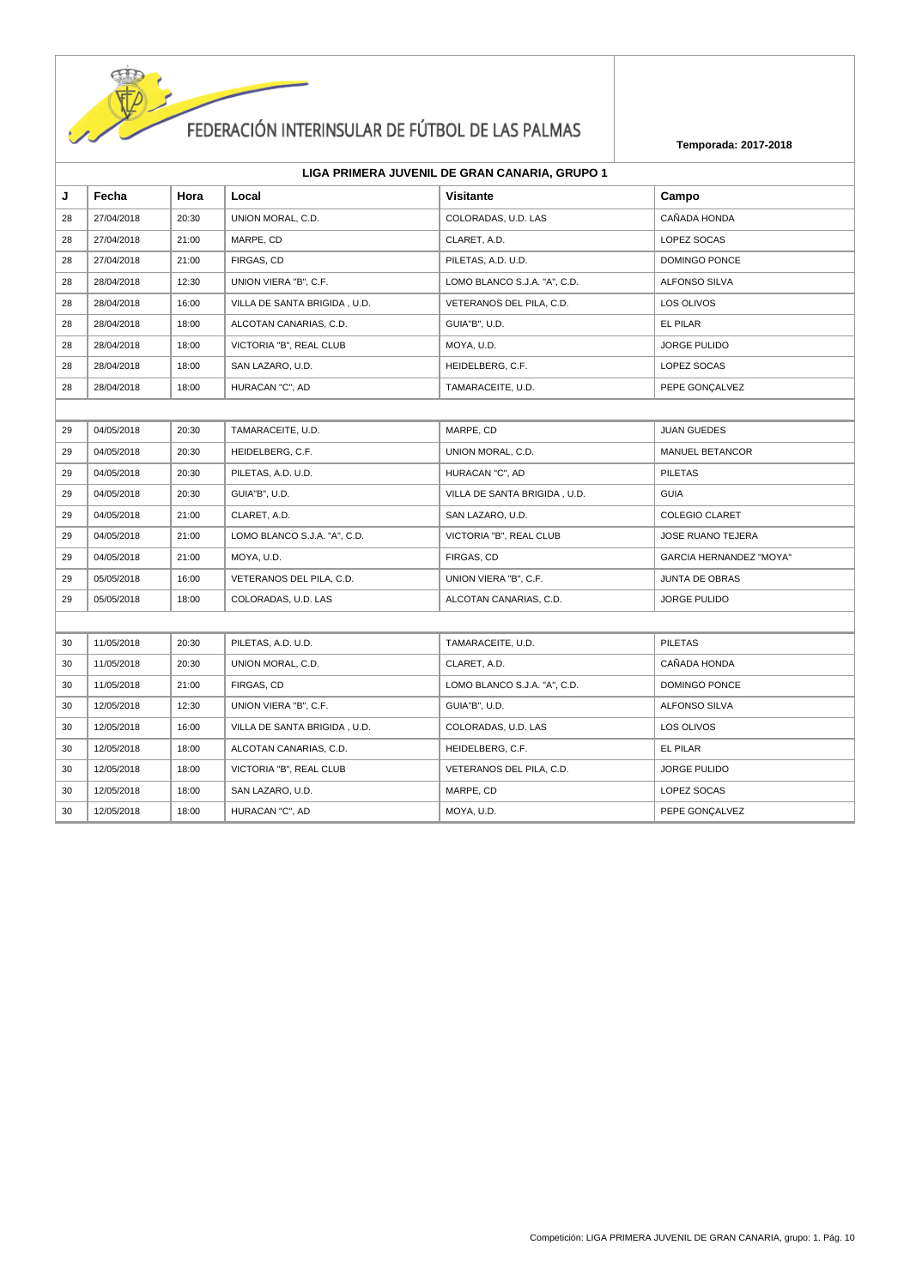

| LIGA PRIMERA JUVENIL DE GRAN CANARIA, GRUPO 1 |  |  |
|-----------------------------------------------|--|--|
|-----------------------------------------------|--|--|

| J  | Fecha      | Hora  | Local                        | Visitante                    | Campo                          |  |  |
|----|------------|-------|------------------------------|------------------------------|--------------------------------|--|--|
| 28 | 27/04/2018 | 20:30 | UNION MORAL, C.D.            | COLORADAS, U.D. LAS          | CAÑADA HONDA                   |  |  |
| 28 | 27/04/2018 | 21:00 | MARPE, CD                    | CLARET, A.D.                 | LOPEZ SOCAS                    |  |  |
| 28 | 27/04/2018 | 21:00 | FIRGAS, CD                   | PILETAS, A.D. U.D.           | DOMINGO PONCE                  |  |  |
| 28 | 28/04/2018 | 12:30 | UNION VIERA "B", C.F.        | LOMO BLANCO S.J.A. "A", C.D. | ALFONSO SILVA                  |  |  |
| 28 | 28/04/2018 | 16:00 | VILLA DE SANTA BRIGIDA, U.D. | VETERANOS DEL PILA, C.D.     | LOS OLIVOS                     |  |  |
| 28 | 28/04/2018 | 18:00 | ALCOTAN CANARIAS, C.D.       | GUIA"B", U.D.                | EL PILAR                       |  |  |
| 28 | 28/04/2018 | 18:00 | VICTORIA "B", REAL CLUB      | MOYA, U.D.                   | <b>JORGE PULIDO</b>            |  |  |
| 28 | 28/04/2018 | 18:00 | SAN LAZARO, U.D.             | HEIDELBERG, C.F.             | LOPEZ SOCAS                    |  |  |
| 28 | 28/04/2018 | 18:00 | HURACAN "C", AD              | TAMARACEITE, U.D.            | PEPE GONÇALVEZ                 |  |  |
|    |            |       |                              |                              |                                |  |  |
| 29 | 04/05/2018 | 20:30 | TAMARACEITE, U.D.            | MARPE, CD                    | <b>JUAN GUEDES</b>             |  |  |
| 29 | 04/05/2018 | 20:30 | HEIDELBERG, C.F.             | UNION MORAL, C.D.            | MANUEL BETANCOR                |  |  |
| 29 | 04/05/2018 | 20:30 | PILETAS, A.D. U.D.           | HURACAN "C", AD              | <b>PILETAS</b>                 |  |  |
| 29 | 04/05/2018 | 20:30 | GUIA"B", U.D.                | VILLA DE SANTA BRIGIDA, U.D. | <b>GUIA</b>                    |  |  |
| 29 | 04/05/2018 | 21:00 | CLARET, A.D.                 | SAN LAZARO, U.D.             | <b>COLEGIO CLARET</b>          |  |  |
| 29 | 04/05/2018 | 21:00 | LOMO BLANCO S.J.A. "A", C.D. | VICTORIA "B", REAL CLUB      | <b>JOSE RUANO TEJERA</b>       |  |  |
| 29 | 04/05/2018 | 21:00 | MOYA, U.D.                   | FIRGAS, CD                   | <b>GARCIA HERNANDEZ "MOYA"</b> |  |  |
| 29 | 05/05/2018 | 16:00 | VETERANOS DEL PILA, C.D.     | UNION VIERA "B", C.F.        | <b>JUNTA DE OBRAS</b>          |  |  |
| 29 | 05/05/2018 | 18:00 | COLORADAS, U.D. LAS          | ALCOTAN CANARIAS, C.D.       | <b>JORGE PULIDO</b>            |  |  |
|    |            |       |                              |                              |                                |  |  |
| 30 | 11/05/2018 | 20:30 | PILETAS, A.D. U.D.           | TAMARACEITE, U.D.            | <b>PILETAS</b>                 |  |  |
| 30 | 11/05/2018 | 20:30 | UNION MORAL, C.D.            | CLARET, A.D.                 | CAÑADA HONDA                   |  |  |
| 30 | 11/05/2018 | 21:00 | FIRGAS, CD                   | LOMO BLANCO S.J.A. "A", C.D. | DOMINGO PONCE                  |  |  |
| 30 | 12/05/2018 | 12:30 | UNION VIERA "B", C.F.        | GUIA"B", U.D.                | ALFONSO SILVA                  |  |  |
| 30 | 12/05/2018 | 16:00 | VILLA DE SANTA BRIGIDA, U.D. | COLORADAS, U.D. LAS          | LOS OLIVOS                     |  |  |
| 30 | 12/05/2018 | 18:00 | ALCOTAN CANARIAS, C.D.       | HEIDELBERG, C.F.             | EL PILAR                       |  |  |
| 30 | 12/05/2018 | 18:00 | VICTORIA "B", REAL CLUB      | VETERANOS DEL PILA, C.D.     | <b>JORGE PULIDO</b>            |  |  |
| 30 | 12/05/2018 | 18:00 | SAN LAZARO, U.D.             | MARPE, CD                    | LOPEZ SOCAS                    |  |  |
| 30 | 12/05/2018 | 18:00 | HURACAN "C", AD              | MOYA, U.D.                   | PEPE GONÇALVEZ                 |  |  |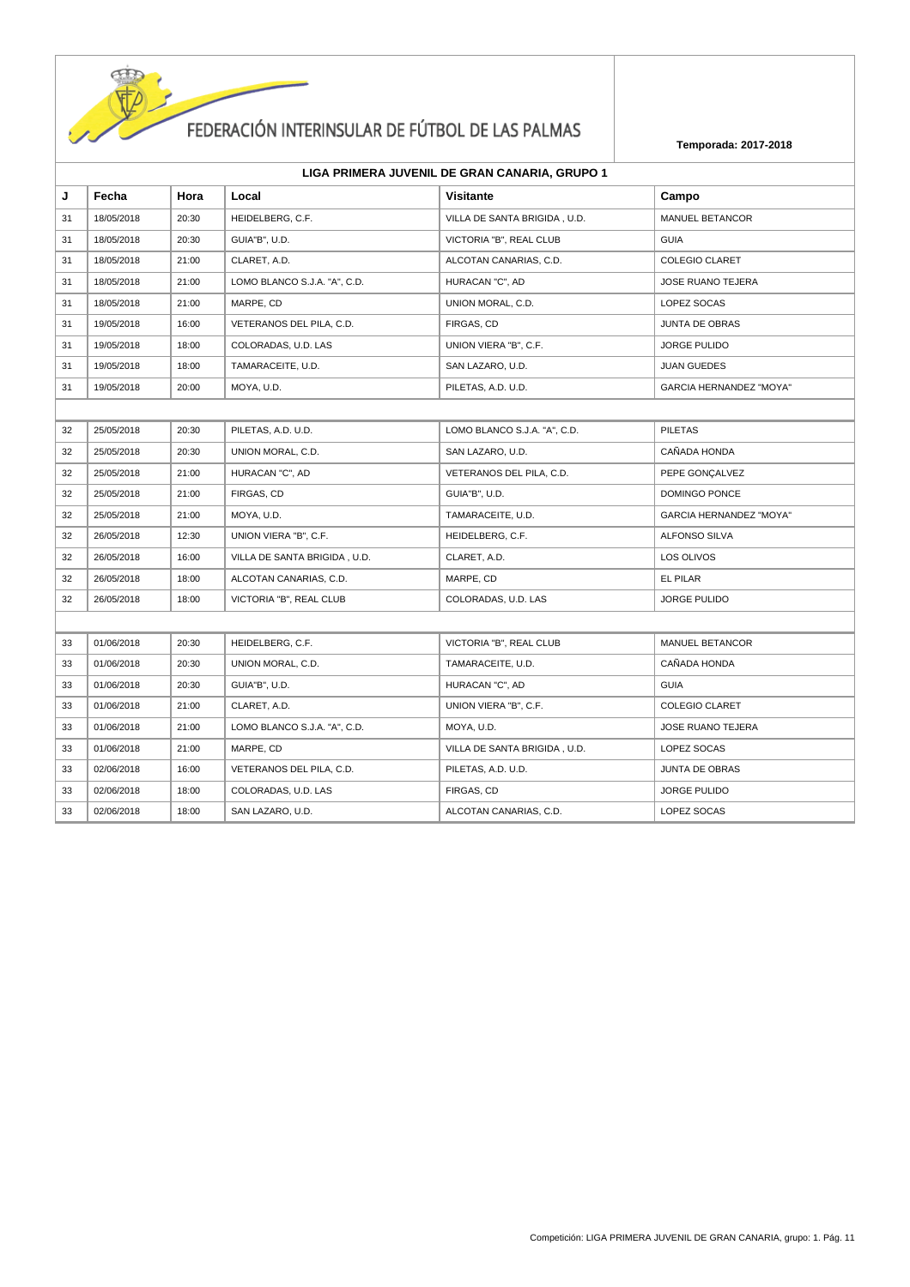

| J  | Fecha      | Hora  | Local                        | <b>Visitante</b>             | Campo                          |
|----|------------|-------|------------------------------|------------------------------|--------------------------------|
| 31 | 18/05/2018 | 20:30 | HEIDELBERG, C.F.             | VILLA DE SANTA BRIGIDA, U.D. | MANUEL BETANCOR                |
| 31 | 18/05/2018 | 20:30 | GUIA"B", U.D.                | VICTORIA "B", REAL CLUB      | <b>GUIA</b>                    |
| 31 | 18/05/2018 | 21:00 | CLARET, A.D.                 | ALCOTAN CANARIAS, C.D.       | <b>COLEGIO CLARET</b>          |
| 31 | 18/05/2018 | 21:00 | LOMO BLANCO S.J.A. "A", C.D. | HURACAN "C", AD              | <b>JOSE RUANO TEJERA</b>       |
| 31 | 18/05/2018 | 21:00 | MARPE, CD                    | UNION MORAL, C.D.            | LOPEZ SOCAS                    |
| 31 | 19/05/2018 | 16:00 | VETERANOS DEL PILA, C.D.     | FIRGAS, CD                   | JUNTA DE OBRAS                 |
| 31 | 19/05/2018 | 18:00 | COLORADAS, U.D. LAS          | UNION VIERA "B", C.F.        | JORGE PULIDO                   |
| 31 | 19/05/2018 | 18:00 | TAMARACEITE, U.D.            | SAN LAZARO, U.D.             | <b>JUAN GUEDES</b>             |
| 31 | 19/05/2018 | 20:00 | MOYA, U.D.                   | PILETAS, A.D. U.D.           | <b>GARCIA HERNANDEZ "MOYA"</b> |
|    |            |       |                              |                              |                                |
| 32 | 25/05/2018 | 20:30 | PILETAS, A.D. U.D.           | LOMO BLANCO S.J.A. "A", C.D. | <b>PILETAS</b>                 |
| 32 | 25/05/2018 | 20:30 | UNION MORAL, C.D.            | SAN LAZARO, U.D.             | CAÑADA HONDA                   |
| 32 | 25/05/2018 | 21:00 | HURACAN "C", AD              | VETERANOS DEL PILA, C.D.     | PEPE GONÇALVEZ                 |
| 32 | 25/05/2018 | 21:00 | FIRGAS, CD                   | GUIA"B", U.D.                | <b>DOMINGO PONCE</b>           |
| 32 | 25/05/2018 | 21:00 | MOYA, U.D.                   | TAMARACEITE, U.D.            | <b>GARCIA HERNANDEZ "MOYA"</b> |
| 32 | 26/05/2018 | 12:30 | UNION VIERA "B", C.F.        | HEIDELBERG, C.F.             | ALFONSO SILVA                  |
| 32 | 26/05/2018 | 16:00 | VILLA DE SANTA BRIGIDA, U.D. | CLARET, A.D.                 | LOS OLIVOS                     |
| 32 | 26/05/2018 | 18:00 | ALCOTAN CANARIAS, C.D.       | MARPE, CD                    | EL PILAR                       |
| 32 | 26/05/2018 | 18:00 | VICTORIA "B", REAL CLUB      | COLORADAS, U.D. LAS          | JORGE PULIDO                   |
|    |            |       |                              |                              |                                |
| 33 | 01/06/2018 | 20:30 | HEIDELBERG, C.F.             | VICTORIA "B", REAL CLUB      | MANUEL BETANCOR                |
| 33 | 01/06/2018 | 20:30 | UNION MORAL, C.D.            | TAMARACEITE, U.D.            | CAÑADA HONDA                   |
| 33 | 01/06/2018 | 20:30 | GUIA"B", U.D.                | HURACAN "C", AD              | <b>GUIA</b>                    |
| 33 | 01/06/2018 | 21:00 | CLARET, A.D.                 | UNION VIERA "B", C.F.        | <b>COLEGIO CLARET</b>          |
| 33 | 01/06/2018 | 21:00 | LOMO BLANCO S.J.A. "A", C.D. | MOYA, U.D.                   | JOSE RUANO TEJERA              |
| 33 | 01/06/2018 | 21:00 | MARPE, CD                    | VILLA DE SANTA BRIGIDA, U.D. | LOPEZ SOCAS                    |
| 33 | 02/06/2018 | 16:00 | VETERANOS DEL PILA, C.D.     | PILETAS, A.D. U.D.           | <b>JUNTA DE OBRAS</b>          |
| 33 | 02/06/2018 | 18:00 | COLORADAS, U.D. LAS          | FIRGAS, CD                   | JORGE PULIDO                   |
| 33 | 02/06/2018 | 18:00 | SAN LAZARO, U.D.             | ALCOTAN CANARIAS, C.D.       | LOPEZ SOCAS                    |